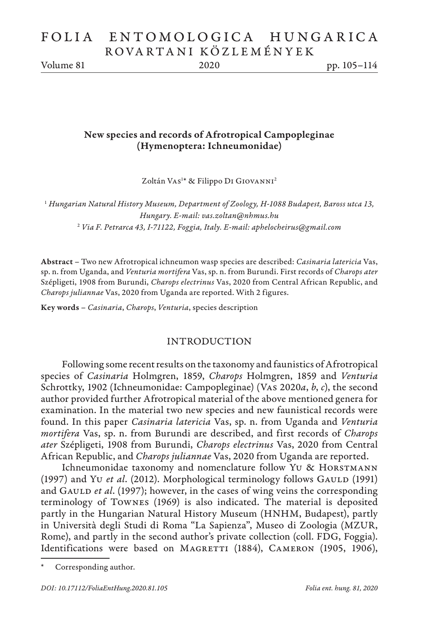# FOLIA ENTOMOLOGICA HUNGARICA ROVARTANI KÖZLEMÉNYEK

Volume 81 2020 pp. 105–114

## New species and records of Afrotropical Campopleginae (Hymenoptera: Ichneumonidae)

Zoltán Vas<sup>1\*</sup> & Filippo D1 G10VANN1<sup>2</sup>

<sup>1</sup> *Hungarian Natural History Museum, Department of Zoology, H-1088 Budapest, Baross utca 13, Hungary. E-mail: vas.zoltan@nhmus.hu* <sup>2</sup> *Via F. Petrarca 43, I-71122, Foggia, Italy. E-mail: aphelocheirus@gmail.com*

Abstract – Two new Afrotropical ichneumon wasp species are described: *Casinaria latericia* Vas, sp. n. from Uganda, and *Venturia mortifera* Vas, sp. n. from Burundi. First records of *Charops ater* Szépligeti, 1908 from Burundi, *Charops electrinus* Vas, 2020 from Central African Republic, and *Charops juliannae* Vas, 2020 from Uganda are reported. With 2 figures.

Key words – *Casinaria*, *Charops*, *Venturia*, species description

### INTRODUCTION

Following some recent results on the taxonomy and faunistics of Afrotropical species of *Casinaria* Holmgren, 1859, *Charops* Holmgren, 1859 and *Venturia* Schrottky, 1902 (Ichneumonidae: Campopleginae) (Vas 2020*a*, *b*, *c*), the second author provided further Afrotropical material of the above mentioned genera for examination. In the material two new species and new faunistical records were found. In this paper *Casinaria latericia* Vas, sp. n. from Uganda and *Venturia mortifera* Vas, sp. n. from Burundi are described, and first records of *Charops ater* Szépligeti, 1908 from Burundi, *Charops electrinus* Vas, 2020 from Central African Republic, and *Charops juliannae* Vas, 2020 from Uganda are reported.

Ichneumonidae taxonomy and nomenclature follow Yu & HORSTMANN (1997) and Yu et al. (2012). Morphological terminology follows GAULD (1991) and GAULD *et al.* (1997); however, in the cases of wing veins the corresponding terminology of Townes (1969) is also indicated. The material is deposited partly in the Hungarian Natural History Museum (HNHM, Budapest), partly in Università degli Studi di Roma "La Sapienza", Museo di Zoologia (MZUR, Rome), and partly in the second author's private collection (coll. FDG, Foggia). Identifications were based on MAGRETTI (1884), CAMERON (1905, 1906),

Corresponding author.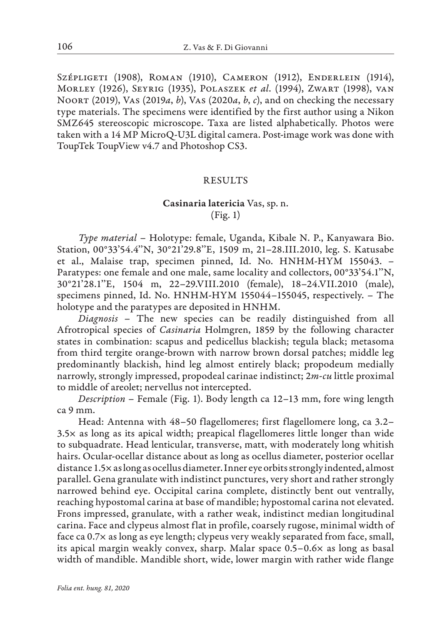Szépligeti (1908), Roman (1910), Cameron (1912), Enderlein (1914), Morley (1926), Seyrig (1935), Polaszek *et al*. (1994), Zwart (1998), van Noort (2019), Vas (2019*a*, *b*), Vas (2020*a*, *b*, *c*), and on checking the necessary type materials. The specimens were identified by the first author using a Nikon SMZ645 stereoscopic microscope. Taxa are listed alphabetically. Photos were taken with a 14 MP MicroQ-U3L digital camera. Post-image work was done with ToupTek ToupView v4.7 and Photoshop CS3.

### RESULTS

## Casinaria latericia Vas, sp. n. (Fig. 1)

*Type material* – Holotype: female, Uganda, Kibale N. P., Kanyawara Bio. Station, 00°33'54.4''N, 30°21'29.8''E, 1509 m, 21–28.III.2010, leg. S. Katusabe et al., Malaise trap, specimen pinned, Id. No. HNHM-HYM 155043. – Paratypes: one female and one male, same locality and collectors, 00°33'54.1''N, 30°21'28.1''E, 1504 m, 22–29.VIII.2010 (female), 18–24.VII.2010 (male), specimens pinned, Id. No. HNHM-HYM 155044–155045, respectively. – The holotype and the paratypes are deposited in HNHM.

*Diagnosis* – The new species can be readily distinguished from all Afrotropical species of *Casinaria* Holmgren, 1859 by the following character states in combination: scapus and pedicellus blackish; tegula black; metasoma from third tergite orange-brown with narrow brown dorsal patches; middle leg predominantly blackish, hind leg almost entirely black; propodeum medially narrowly, strongly impressed, propodeal carinae indistinct; 2*m-cu* little proximal to middle of areolet; nervellus not intercepted.

*Description* – Female (Fig. 1). Body length ca 12–13 mm, fore wing length ca 9 mm.

Head: Antenna with 48–50 flagellomeres; first flagellomere long, ca 3.2– 3.5× as long as its apical width; preapical flagellomeres little longer than wide to subquadrate. Head lenticular, transverse, matt, with moderately long whitish hairs. Ocular-ocellar distance about as long as ocellus diameter, posterior ocellar distance 1.5× as long as ocellus diameter. Inner eye orbits strongly indented, almost parallel. Gena granulate with indistinct punctures, very short and rather strongly narrowed behind eye. Occipital carina complete, distinctly bent out ventrally, reaching hypostomal carina at base of mandible; hypostomal carina not elevated. Frons impressed, granulate, with a rather weak, indistinct median longitudinal carina. Face and clypeus almost flat in profile, coarsely rugose, minimal width of face ca 0.7× as long as eye length; clypeus very weakly separated from face, small, its apical margin weakly convex, sharp. Malar space 0.5–0.6× as long as basal width of mandible. Mandible short, wide, lower margin with rather wide flange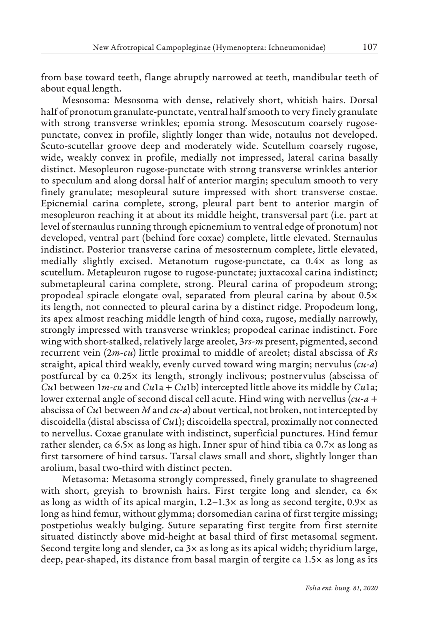from base toward teeth, flange abruptly narrowed at teeth, mandibular teeth of about equal length.

Mesosoma: Mesosoma with dense, relatively short, whitish hairs. Dorsal half of pronotum granulate-punctate, ventral half smooth to very finely granulate with strong transverse wrinkles; epomia strong. Mesoscutum coarsely rugosepunctate, convex in profile, slightly longer than wide, notaulus not developed. Scuto-scutellar groove deep and moderately wide. Scutellum coarsely rugose, wide, weakly convex in profile, medially not impressed, lateral carina basally distinct. Mesopleuron rugose-punctate with strong transverse wrinkles anterior to speculum and along dorsal half of anterior margin; speculum smooth to very finely granulate; mesopleural suture impressed with short transverse costae. Epicnemial carina complete, strong, pleural part bent to anterior margin of mesopleuron reaching it at about its middle height, transversal part (i.e. part at level of sternaulus running through epicnemium to ventral edge of pronotum) not developed, ventral part (behind fore coxae) complete, little elevated. Sternaulus indistinct. Posterior transverse carina of mesosternum complete, little elevated, medially slightly excised. Metanotum rugose-punctate, ca 0.4× as long as scutellum. Metapleuron rugose to rugose-punctate; juxtacoxal carina indistinct; submetapleural carina complete, strong. Pleural carina of propodeum strong; propodeal spiracle elongate oval, separated from pleural carina by about 0.5× its length, not connected to pleural carina by a distinct ridge. Propodeum long, its apex almost reaching middle length of hind coxa, rugose, medially narrowly, strongly impressed with transverse wrinkles; propodeal carinae indistinct. Fore wing with short-stalked, relatively large areolet, 3*rs-m* present, pigmented, second recurrent vein (2*m-cu*) little proximal to middle of areolet; distal abscissa of *Rs* straight, apical third weakly, evenly curved toward wing margin; nervulus (*cu-a*) postfurcal by ca 0.25× its length, strongly inclivous; postnervulus (abscissa of *Cu*1 between 1*m-cu* and *Cu*1a + *Cu*1b) intercepted little above its middle by *Cu*1a; lower external angle of second discal cell acute. Hind wing with nervellus (*cu-a* + abscissa of *Cu*1 between *M* and *cu-a*) about vertical, not broken, not intercepted by discoidella (distal abscissa of *Cu*1); discoidella spectral, proximally not connected to nervellus. Coxae granulate with indistinct, superficial punctures. Hind femur rather slender, ca 6.5× as long as high. Inner spur of hind tibia ca 0.7× as long as first tarsomere of hind tarsus. Tarsal claws small and short, slightly longer than arolium, basal two-third with distinct pecten.

Metasoma: Metasoma strongly compressed, finely granulate to shagreened with short, greyish to brownish hairs. First tergite long and slender, ca 6x as long as width of its apical margin,  $1.2-1.3\times$  as long as second tergite,  $0.9\times$  as long as hind femur, without glymma; dorsomedian carina of first tergite missing; postpetiolus weakly bulging. Suture separating first tergite from first sternite situated distinctly above mid-height at basal third of first metasomal segment. Second tergite long and slender, ca 3× as long as its apical width; thyridium large, deep, pear-shaped, its distance from basal margin of tergite ca 1.5× as long as its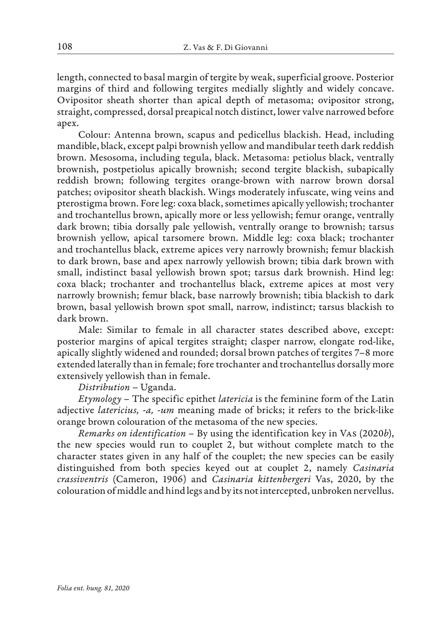length, connected to basal margin of tergite by weak, superficial groove. Posterior margins of third and following tergites medially slightly and widely concave. Ovipositor sheath shorter than apical depth of metasoma; ovipositor strong, straight, compressed, dorsal preapical notch distinct, lower valve narrowed before apex.

Colour: Antenna brown, scapus and pedicellus blackish. Head, including mandible, black, except palpi brownish yellow and mandibular teeth dark reddish brown. Mesosoma, including tegula, black. Metasoma: petiolus black, ventrally brownish, postpetiolus apically brownish; second tergite blackish, subapically reddish brown; following tergites orange-brown with narrow brown dorsal patches; ovipositor sheath blackish. Wings moderately infuscate, wing veins and pterostigma brown. Fore leg: coxa black, sometimes apically yellowish; trochanter and trochantellus brown, apically more or less yellowish; femur orange, ventrally dark brown; tibia dorsally pale yellowish, ventrally orange to brownish; tarsus brownish yellow, apical tarsomere brown. Middle leg: coxa black; trochanter and trochantellus black, extreme apices very narrowly brownish; femur blackish to dark brown, base and apex narrowly yellowish brown; tibia dark brown with small, indistinct basal yellowish brown spot; tarsus dark brownish. Hind leg: coxa black; trochanter and trochantellus black, extreme apices at most very narrowly brownish; femur black, base narrowly brownish; tibia blackish to dark brown, basal yellowish brown spot small, narrow, indistinct; tarsus blackish to dark brown.

Male: Similar to female in all character states described above, except: posterior margins of apical tergites straight; clasper narrow, elongate rod-like, apically slightly widened and rounded; dorsal brown patches of tergites 7–8 more extended laterally than in female; fore trochanter and trochantellus dorsally more extensively yellowish than in female.

### *Distribution* – Uganda.

*Etymology* – The specific epithet *latericia* is the feminine form of the Latin adjective *latericius, -a, -um* meaning made of bricks; it refers to the brick-like orange brown colouration of the metasoma of the new species.

*Remarks on identification* – By using the identification key in Vas (2020*b*), the new species would run to couplet 2, but without complete match to the character states given in any half of the couplet; the new species can be easily distinguished from both species keyed out at couplet 2, namely *Casinaria crassiventris* (Cameron, 1906) and *Casinaria kittenbergeri* Vas, 2020, by the colouration of middle and hind legs and by its not intercepted, unbroken nervellus.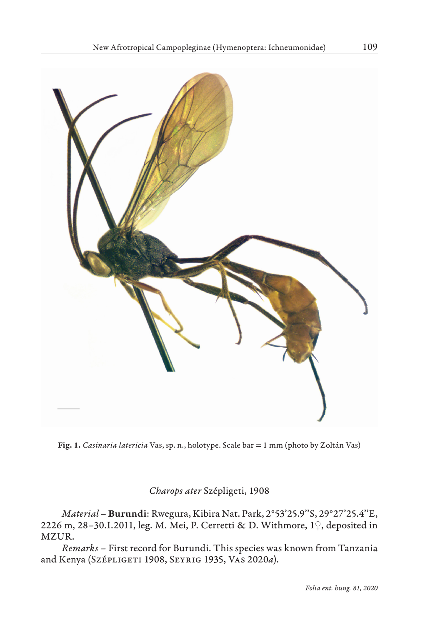

Fig. 1. *Casinaria latericia* Vas, sp. n., holotype. Scale bar = 1 mm (photo by Zoltán Vas)

## *Charops ater* Szépligeti, 1908

*Material* – Burundi: Rwegura, Kibira Nat. Park, 2°53'25.9''S, 29°27'25.4''E, 2226 m, 28–30.I.2011, leg. M. Mei, P. Cerretti & D. Withmore, 1♀, deposited in MZUR.

*Remarks* – First record for Burundi. This species was known from Tanzania and Kenya (Szépligeti 1908, Seyrig 1935, Vas 2020*a*).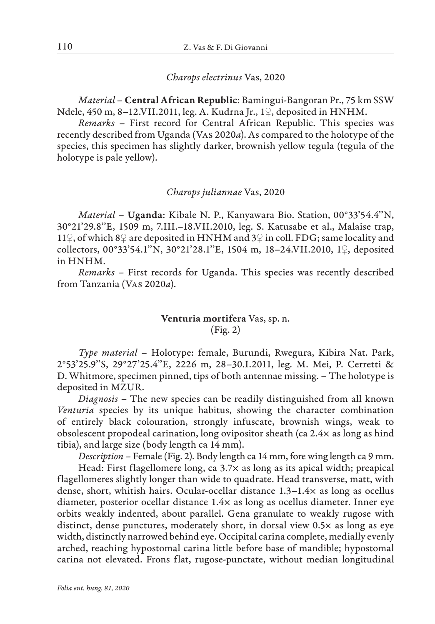### *Charops electrinus* Vas, 2020

*Material* – Central African Republic: Bamingui-Bangoran Pr., 75 km SSW Ndele, 450 m, 8–12.VII.2011, leg. A. Kudrna Jr., 1♀, deposited in HNHM.

*Remarks* – First record for Central African Republic. This species was recently described from Uganda (Vas 2020*a*). As compared to the holotype of the species, this specimen has slightly darker, brownish yellow tegula (tegula of the holotype is pale yellow).

#### *Charops juliannae* Vas, 2020

*Material* – Uganda: Kibale N. P., Kanyawara Bio. Station, 00°33'54.4''N, 30°21'29.8''E, 1509 m, 7.III.–18.VII.2010, leg. S. Katusabe et al., Malaise trap, 11♀, of which 8♀ are deposited in HNHM and 3♀ in coll. FDG; same locality and collectors, 00°33'54.1''N, 30°21'28.1''E, 1504 m, 18–24.VII.2010, 1♀, deposited in HNHM.

*Remarks* – First records for Uganda. This species was recently described from Tanzania (Vas 2020*a*).

## Venturia mortifera Vas, sp. n. (Fig. 2)

*Type material* – Holotype: female, Burundi, Rwegura, Kibira Nat. Park, 2°53'25.9''S, 29°27'25.4''E, 2226 m, 28–30.I.2011, leg. M. Mei, P. Cerretti & D. Whitmore, specimen pinned, tips of both antennae missing. – The holotype is deposited in MZUR.

*Diagnosis* – The new species can be readily distinguished from all known *Venturia* species by its unique habitus, showing the character combination of entirely black colouration, strongly infuscate, brownish wings, weak to obsolescent propodeal carination, long ovipositor sheath (ca 2.4× as long as hind tibia), and large size (body length ca 14 mm).

*Description* – Female (Fig. 2). Body length ca 14 mm, fore wing length ca 9 mm.

Head: First flagellomere long, ca 3.7× as long as its apical width; preapical flagellomeres slightly longer than wide to quadrate. Head transverse, matt, with dense, short, whitish hairs. Ocular-ocellar distance 1.3–1.4× as long as ocellus diameter, posterior ocellar distance 1.4× as long as ocellus diameter. Inner eye orbits weakly indented, about parallel. Gena granulate to weakly rugose with distinct, dense punctures, moderately short, in dorsal view 0.5× as long as eye width, distinctly narrowed behind eye. Occipital carina complete, medially evenly arched, reaching hypostomal carina little before base of mandible; hypostomal carina not elevated. Frons flat, rugose-punctate, without median longitudinal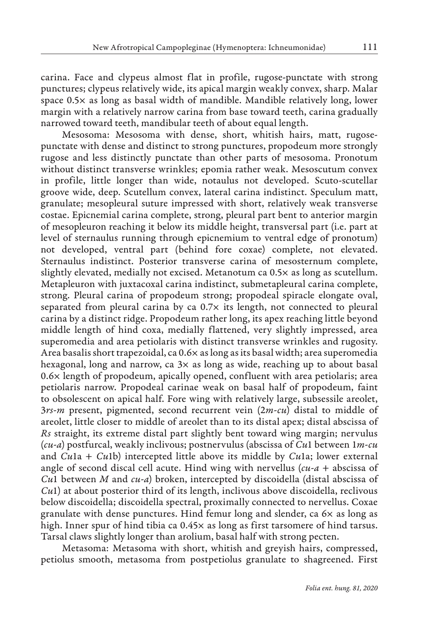carina. Face and clypeus almost flat in profile, rugose-punctate with strong punctures; clypeus relatively wide, its apical margin weakly convex, sharp. Malar space 0.5× as long as basal width of mandible. Mandible relatively long, lower margin with a relatively narrow carina from base toward teeth, carina gradually narrowed toward teeth, mandibular teeth of about equal length.

Mesosoma: Mesosoma with dense, short, whitish hairs, matt, rugosepunctate with dense and distinct to strong punctures, propodeum more strongly rugose and less distinctly punctate than other parts of mesosoma. Pronotum without distinct transverse wrinkles; epomia rather weak. Mesoscutum convex in profile, little longer than wide, notaulus not developed. Scuto-scutellar groove wide, deep. Scutellum convex, lateral carina indistinct. Speculum matt, granulate; mesopleural suture impressed with short, relatively weak transverse costae. Epicnemial carina complete, strong, pleural part bent to anterior margin of mesopleuron reaching it below its middle height, transversal part (i.e. part at level of sternaulus running through epicnemium to ventral edge of pronotum) not developed, ventral part (behind fore coxae) complete, not elevated. Sternaulus indistinct. Posterior transverse carina of mesosternum complete, slightly elevated, medially not excised. Metanotum ca 0.5× as long as scutellum. Metapleuron with juxtacoxal carina indistinct, submetapleural carina complete, strong. Pleural carina of propodeum strong; propodeal spiracle elongate oval, separated from pleural carina by ca 0.7× its length, not connected to pleural carina by a distinct ridge. Propodeum rather long, its apex reaching little beyond middle length of hind coxa, medially flattened, very slightly impressed, area superomedia and area petiolaris with distinct transverse wrinkles and rugosity. Area basalis short trapezoidal, ca 0.6× as long as its basal width; area superomedia hexagonal, long and narrow, ca  $3x$  as long as wide, reaching up to about basal 0.6× length of propodeum, apically opened, confluent with area petiolaris; area petiolaris narrow. Propodeal carinae weak on basal half of propodeum, faint to obsolescent on apical half. Fore wing with relatively large, subsessile areolet, 3*rs-m* present, pigmented, second recurrent vein (2*m-cu*) distal to middle of areolet, little closer to middle of areolet than to its distal apex; distal abscissa of *Rs* straight, its extreme distal part slightly bent toward wing margin; nervulus (*cu-a*) postfurcal, weakly inclivous; postnervulus (abscissa of *Cu*1 between 1*m-cu* and *Cu*1a + *Cu*1b) intercepted little above its middle by *Cu*1a; lower external angle of second discal cell acute. Hind wing with nervellus (*cu-a* + abscissa of *Cu*1 between *M* and *cu-a*) broken, intercepted by discoidella (distal abscissa of *Cu*1) at about posterior third of its length, inclivous above discoidella, reclivous below discoidella; discoidella spectral, proximally connected to nervellus. Coxae granulate with dense punctures. Hind femur long and slender, ca 6× as long as high. Inner spur of hind tibia ca  $0.45 \times$  as long as first tarsomere of hind tarsus. Tarsal claws slightly longer than arolium, basal half with strong pecten.

Metasoma: Metasoma with short, whitish and greyish hairs, compressed, petiolus smooth, metasoma from postpetiolus granulate to shagreened. First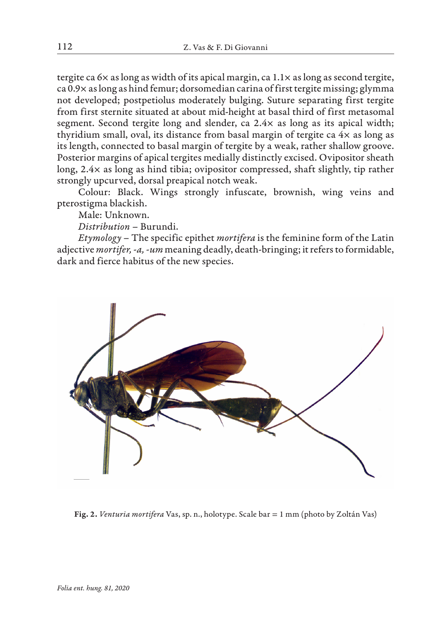tergite ca  $6\times$  as long as width of its apical margin, ca  $1.1\times$  as long as second tergite, ca 0.9× as long as hind femur; dorsomedian carina of first tergite missing; glymma not developed; postpetiolus moderately bulging. Suture separating first tergite from first sternite situated at about mid-height at basal third of first metasomal segment. Second tergite long and slender, ca 2.4× as long as its apical width; thyridium small, oval, its distance from basal margin of tergite ca 4× as long as its length, connected to basal margin of tergite by a weak, rather shallow groove. Posterior margins of apical tergites medially distinctly excised. Ovipositor sheath long, 2.4× as long as hind tibia; ovipositor compressed, shaft slightly, tip rather strongly upcurved, dorsal preapical notch weak.

Colour: Black. Wings strongly infuscate, brownish, wing veins and pterostigma blackish.

Male: Unknown.

*Distribution* – Burundi.

*Etymology* – The specific epithet *mortifera* is the feminine form of the Latin adjective *mortifer, -a, -um* meaning deadly, death-bringing; it refers to formidable, dark and fierce habitus of the new species.



Fig. 2. *Venturia mortifera* Vas, sp. n., holotype. Scale bar = 1 mm (photo by Zoltán Vas)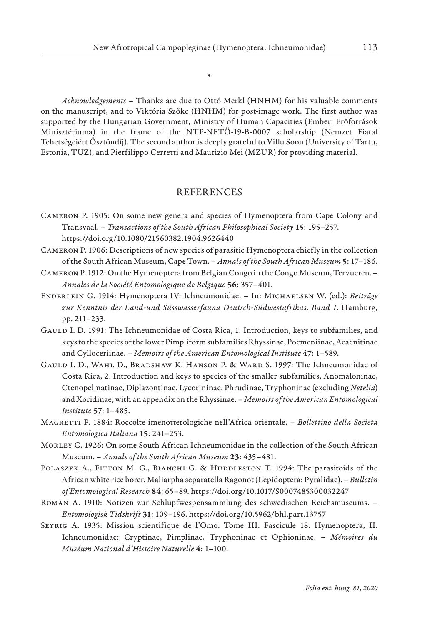\*

*Acknowledgements* – Thanks are due to Ottó Merkl (HNHM) for his valuable comments on the manuscript, and to Viktória Szőke (HNHM) for post-image work. The first author was supported by the Hungarian Government, Ministry of Human Capacities (Emberi Erőforrások Minisztériuma) in the frame of the NTP-NFTÖ-19-B-0007 scholarship (Nemzet Fiatal Tehetségeiért Ösztöndíj). The second author is deeply grateful to Villu Soon (University of Tartu, Estonia, TUZ), and Pierfilippo Cerretti and Maurizio Mei (MZUR) for providing material.

### REFERENCES

- Cameron P. 1905: On some new genera and species of Hymenoptera from Cape Colony and Transvaal. – *Transactions of the South African Philosophical Society* 15: 195–257. https://doi.org/10.1080/21560382.1904.9626440
- Cameron P. 1906: Descriptions of new species of parasitic Hymenoptera chiefly in the collection of the South African Museum, Cape Town. – *Annals of the South African Museum* 5: 17–186.
- Cameron P. 1912: On the Hymenoptera from Belgian Congo in the Congo Museum, Tervueren. *Annales de la Société Entomologique de Belgique* 56: 357–401.
- Enderlein G. 1914: Hymenoptera IV: Ichneumonidae. In: Michaelsen W. (ed.): *Beiträge zur Kenntnis der Land-und Süsswasserfauna Deutsch-Südwestafrikas. Band 1*. Hamburg, pp. 211–233.
- Gauld I. D. 1991: The Ichneumonidae of Costa Rica, 1. Introduction, keys to subfamilies, and keys to the species of the lower Pimpliform subfamilies Rhyssinae, Poemeniinae, Acaenitinae and Cylloceriinae. – *Memoirs of the American Entomological Institute* 47: 1–589.
- Gauld I. D., Wahl D., Bradshaw K. Hanson P. & Ward S. 1997: The Ichneumonidae of Costa Rica, 2. Introduction and keys to species of the smaller subfamilies, Anomaloninae, Ctenopelmatinae, Diplazontinae, Lycorininae, Phrudinae, Tryphoninae (excluding *Netelia*) and Xoridinae, with an appendix on the Rhyssinae. – *Memoirs of the American Entomological Institute* 57: 1–485.
- Magretti P. 1884: Roccolte imenotterologiche nell'Africa orientale. *Bollettino della Societa Entomologica Italiana* 15: 241–253.
- Morley C. 1926: On some South African Ichneumonidae in the collection of the South African Museum. – *Annals of the South African Museum* 23: 435–481.
- POLASZEK A., FITTON M. G., BIANCHI G. & HUDDLESTON T. 1994: The parasitoids of the African white rice borer, Maliarpha separatella Ragonot (Lepidoptera: Pyralidae). – *Bulletin of Entomological Research* 84: 65–89. https://doi.org/10.1017/S0007485300032247
- Roman A. 1910: Notizen zur Schlupfwespensammlung des schwedischen Reichsmuseums. *Entomologisk Tidskrift* 31: 109–196. https://doi.org/10.5962/bhl.part.13757
- Seyrig A. 1935: Mission scientifique de l'Omo. Tome III. Fascicule 18. Hymenoptera, II. Ichneumonidae: Cryptinae, Pimplinae, Tryphoninae et Ophioninae. – *Mémoires du Muséum National d'Histoire Naturelle* 4: 1–100.